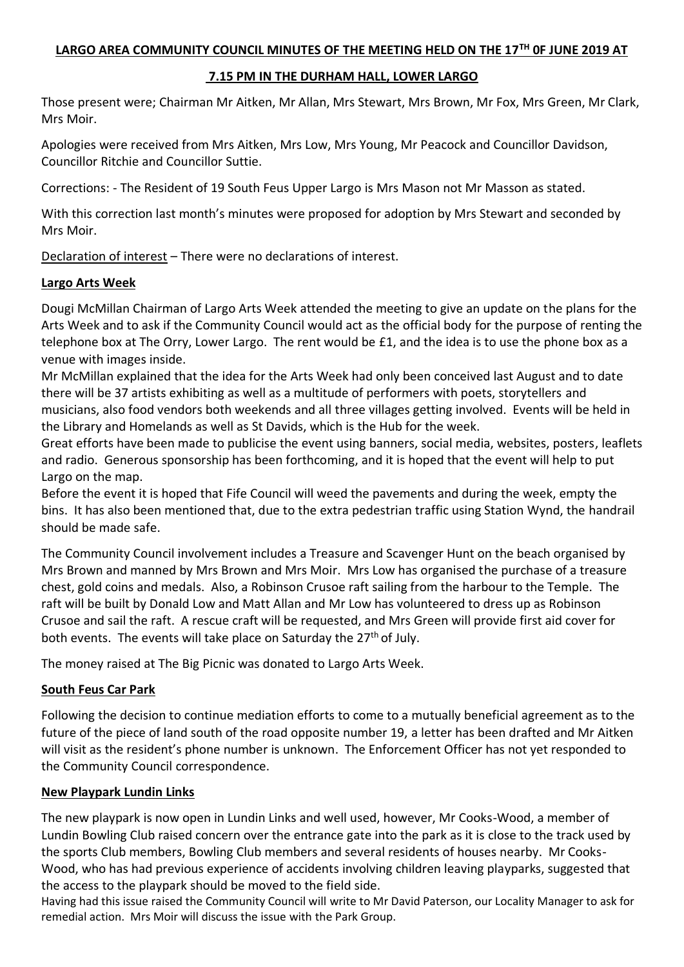### **LARGO AREA COMMUNITY COUNCIL MINUTES OF THE MEETING HELD ON THE 17TH 0F JUNE 2019 AT**

### **7.15 PM IN THE DURHAM HALL, LOWER LARGO**

Those present were; Chairman Mr Aitken, Mr Allan, Mrs Stewart, Mrs Brown, Mr Fox, Mrs Green, Mr Clark, Mrs Moir.

Apologies were received from Mrs Aitken, Mrs Low, Mrs Young, Mr Peacock and Councillor Davidson, Councillor Ritchie and Councillor Suttie.

Corrections: - The Resident of 19 South Feus Upper Largo is Mrs Mason not Mr Masson as stated.

With this correction last month's minutes were proposed for adoption by Mrs Stewart and seconded by Mrs Moir.

Declaration of interest – There were no declarations of interest.

### **Largo Arts Week**

Dougi McMillan Chairman of Largo Arts Week attended the meeting to give an update on the plans for the Arts Week and to ask if the Community Council would act as the official body for the purpose of renting the telephone box at The Orry, Lower Largo. The rent would be £1, and the idea is to use the phone box as a venue with images inside.

Mr McMillan explained that the idea for the Arts Week had only been conceived last August and to date there will be 37 artists exhibiting as well as a multitude of performers with poets, storytellers and musicians, also food vendors both weekends and all three villages getting involved. Events will be held in the Library and Homelands as well as St Davids, which is the Hub for the week.

Great efforts have been made to publicise the event using banners, social media, websites, posters, leaflets and radio. Generous sponsorship has been forthcoming, and it is hoped that the event will help to put Largo on the map.

Before the event it is hoped that Fife Council will weed the pavements and during the week, empty the bins. It has also been mentioned that, due to the extra pedestrian traffic using Station Wynd, the handrail should be made safe.

The Community Council involvement includes a Treasure and Scavenger Hunt on the beach organised by Mrs Brown and manned by Mrs Brown and Mrs Moir. Mrs Low has organised the purchase of a treasure chest, gold coins and medals. Also, a Robinson Crusoe raft sailing from the harbour to the Temple. The raft will be built by Donald Low and Matt Allan and Mr Low has volunteered to dress up as Robinson Crusoe and sail the raft. A rescue craft will be requested, and Mrs Green will provide first aid cover for both events. The events will take place on Saturday the 27<sup>th</sup> of July.

The money raised at The Big Picnic was donated to Largo Arts Week.

## **South Feus Car Park**

Following the decision to continue mediation efforts to come to a mutually beneficial agreement as to the future of the piece of land south of the road opposite number 19, a letter has been drafted and Mr Aitken will visit as the resident's phone number is unknown. The Enforcement Officer has not yet responded to the Community Council correspondence.

### **New Playpark Lundin Links**

The new playpark is now open in Lundin Links and well used, however, Mr Cooks-Wood, a member of Lundin Bowling Club raised concern over the entrance gate into the park as it is close to the track used by the sports Club members, Bowling Club members and several residents of houses nearby. Mr Cooks-Wood, who has had previous experience of accidents involving children leaving playparks, suggested that the access to the playpark should be moved to the field side.

Having had this issue raised the Community Council will write to Mr David Paterson, our Locality Manager to ask for remedial action. Mrs Moir will discuss the issue with the Park Group.